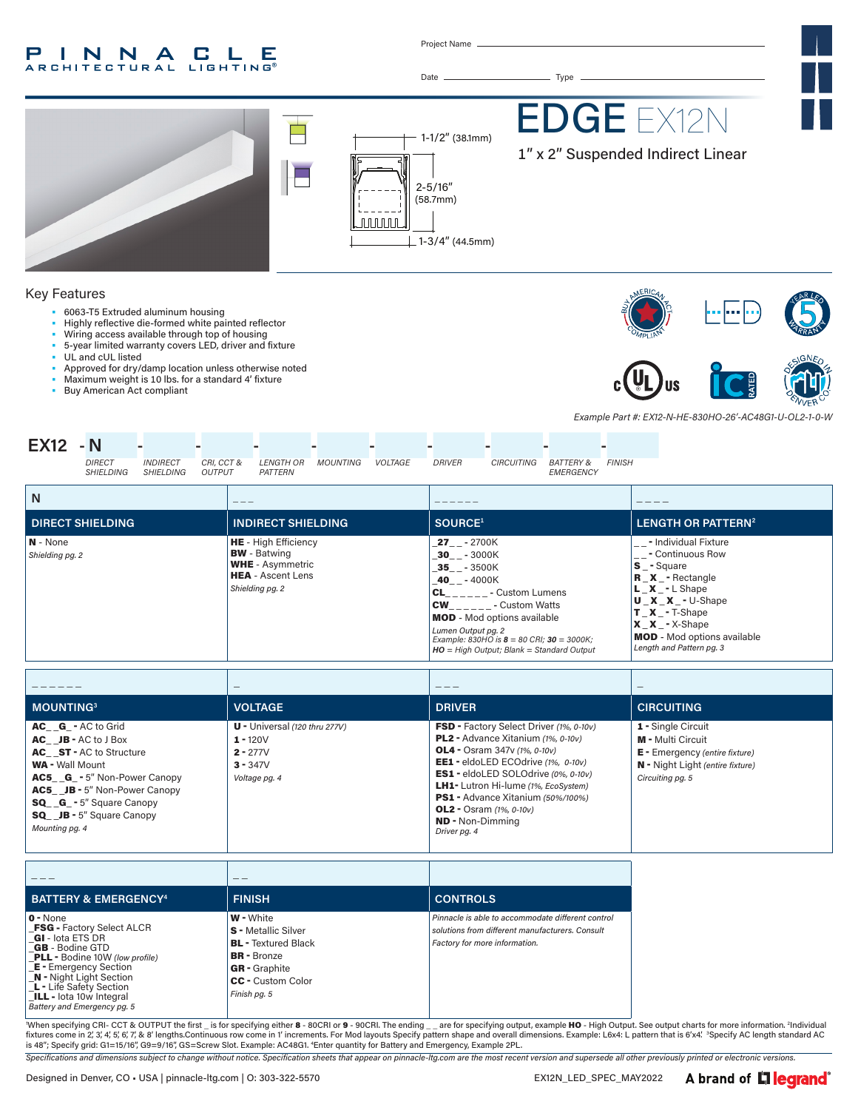#### INNA P.  $\mathbb{L}$ G Е LIGHTING® **ARCHITECTURAL**

Project Name



| <b>MOUNTING3</b>                                                                                                                                                                                                                                                                | <b>VOLTAGE</b>                                                                             | <b>DRIVER</b>                                                                                                                                                                                                                                                                                                                                                                       | <b>CIRCUITING</b>                                                                                                                               |
|---------------------------------------------------------------------------------------------------------------------------------------------------------------------------------------------------------------------------------------------------------------------------------|--------------------------------------------------------------------------------------------|-------------------------------------------------------------------------------------------------------------------------------------------------------------------------------------------------------------------------------------------------------------------------------------------------------------------------------------------------------------------------------------|-------------------------------------------------------------------------------------------------------------------------------------------------|
| AC G - AC to Grid<br>$AC$ $JB - AC$ to $J$ Box<br><b>AC</b> ST - AC to Structure<br><b>WA</b> - Wall Mount<br><b>AC5 G</b> - 5" Non-Power Canopy<br><b>AC5 JB</b> - 5" Non-Power Canopy<br><b>SQ__G_-5</b> " Square Canopy<br><b>SQ</b> JB - 5" Square Canopy<br>Mounting pg. 4 | $U -$ Universal (120 thru 277V)<br>$1 - 120V$<br>$2 - 277V$<br>$3 - 347V$<br>Voltage pg. 4 | <b>FSD</b> - Factory Select Driver (1%, 0-10v)<br>PL2 - Advance Xitanium (1%, 0-10v)<br><b>OL4</b> - Osram 347v (1%, 0-10v)<br><b>EE1</b> - eldoLED ECOdrive (1%, 0-10v)<br>ES1 - eldoLED SOLOdrive (0%, 0-10v)<br><b>LH1-</b> Lutron Hi-lume (1%, EcoSystem)<br>PS1 - Advance Xitanium (50%/100%)<br><b>OL2</b> - Osram $(1\% , 0-10v)$<br><b>ND</b> - Non-Dimmina<br>Driver pg. 4 | 1 - Single Circuit<br><b>M</b> - Multi Circuit<br><b>E</b> - Emergency (entire fixture)<br>N - Night Light (entire fixture)<br>Circuiting pg. 5 |

| <b>BATTERY &amp; EMERGENCY<sup>4</sup></b>                                                                                                                                                                                                                                                                        | <b>FINISH</b>                                                                                                                                                          | <b>CONTROLS</b>                                                                                                                       |
|-------------------------------------------------------------------------------------------------------------------------------------------------------------------------------------------------------------------------------------------------------------------------------------------------------------------|------------------------------------------------------------------------------------------------------------------------------------------------------------------------|---------------------------------------------------------------------------------------------------------------------------------------|
| $0 - None$<br><b>FSG</b> - Factory Select ALCR<br><b>GI</b> - lota ETS DR<br><b>GB</b> - Bodine GTD<br><b>PLL</b> - Bodine 10W (low profile)<br><b>E</b> - Emergency Section<br><b>N</b> - Night Light Section<br><b>L</b> - Life Safety Section<br><b>ILL</b> - lota 10w Integral<br>Battery and Emergency pg. 5 | <b>W</b> - White<br><b>S</b> - Metallic Silver<br><b>BL</b> - Textured Black<br><b>BR</b> - Bronze<br><b>GR</b> - Graphite<br><b>CC</b> - Custom Color<br>Finish pg. 5 | Pinnacle is able to accommodate different control<br>solutions from different manufacturers. Consult<br>Factory for more information. |

When specifying CRI- CCT & OUTPUT the first \_ is for specifying either 8 - 80CRI or 9 - 90CRI. The ending \_\_ are for specifying output, example HO - High Output. See output charts for more information. <sup>2</sup>Individual fixtures come in 2, 3, 4, 5, 6, 7, & 8′ lengths.Continuous row come in 1′ increments. For Mod layouts Specify pattern shape and overall dimensions. Example: L6x4: L pattern that is 6′x4′. <sup>3</sup>Specify AC length standard AC<br>i

*Specifications and dimensions subject to change without notice. Specification sheets that appear on pinnacle-ltg.com are the most recent version and supersede all other previously printed or electronic versions.*

A brand of Liegrand®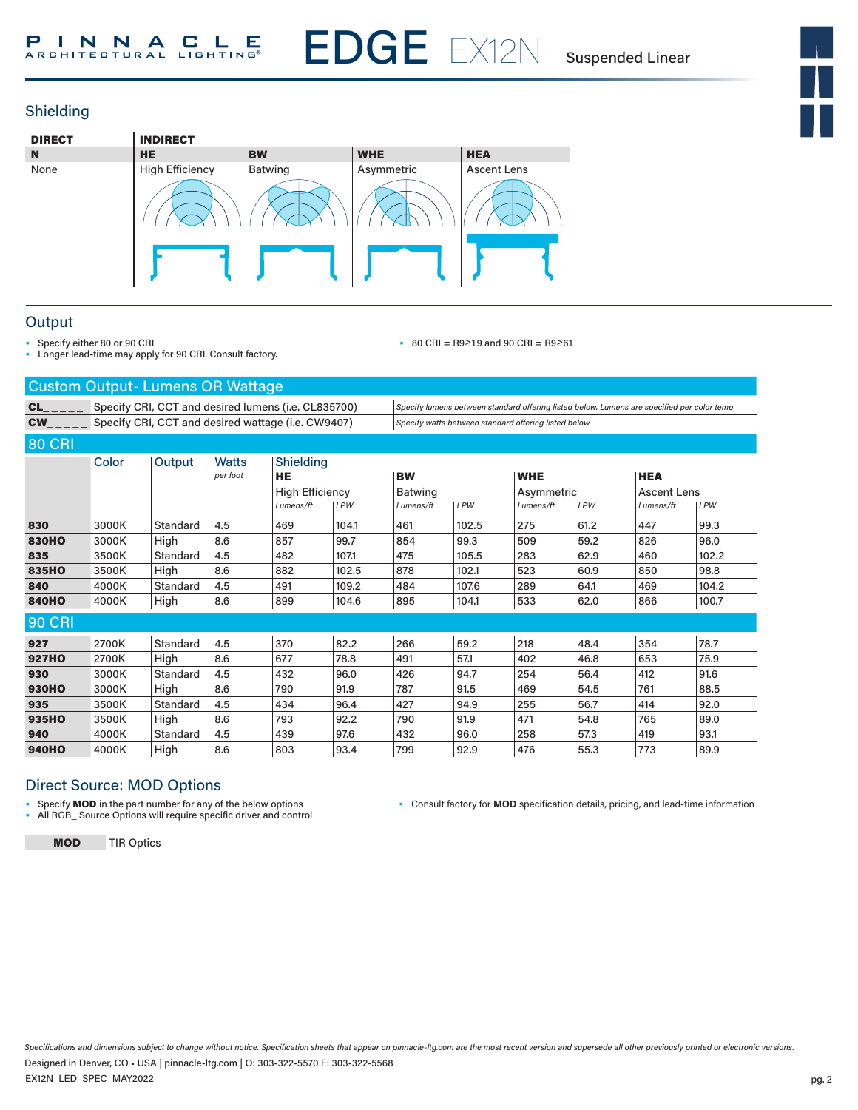EDGE EX12N

Suspended Linear







### **Output**

• Specify either 80 or 90 CRI

• Longer lead-time may apply for 90 CRI. Consult factory.

• 80 CRI = R9≥19 and 90 CRI = R9≥61

| <b>Custom Output-Lumens OR Wattage</b> |                                                     |                                                    |          |                        |            |                                                                                            |            |                                                      |      |                    |       |
|----------------------------------------|-----------------------------------------------------|----------------------------------------------------|----------|------------------------|------------|--------------------------------------------------------------------------------------------|------------|------------------------------------------------------|------|--------------------|-------|
| <b>CL</b>                              | Specify CRI, CCT and desired lumens (i.e. CL835700) |                                                    |          |                        |            | Specify lumens between standard offering listed below. Lumens are specified per color temp |            |                                                      |      |                    |       |
| <b>CW</b>                              |                                                     | Specify CRI, CCT and desired wattage (i.e. CW9407) |          |                        |            |                                                                                            |            | Specify watts between standard offering listed below |      |                    |       |
| <b>80 CRI</b>                          |                                                     |                                                    |          |                        |            |                                                                                            |            |                                                      |      |                    |       |
|                                        | Color                                               | Output                                             | Watts    | Shielding              |            |                                                                                            |            |                                                      |      |                    |       |
|                                        |                                                     |                                                    | per foot | <b>HE</b>              |            | <b>BW</b>                                                                                  |            | <b>WHE</b>                                           |      | <b>HEA</b>         |       |
|                                        |                                                     |                                                    |          | <b>High Efficiency</b> |            | <b>Batwing</b>                                                                             |            | Asymmetric                                           |      | <b>Ascent Lens</b> |       |
|                                        |                                                     |                                                    |          | Lumens/ft              | <b>LPW</b> | Lumens/ft                                                                                  | <b>LPW</b> | Lumens/ft                                            | LPW  | Lumens/ft          | LPW   |
| 830                                    | 3000K                                               | Standard                                           | 4.5      | 469                    | 104.1      | 461                                                                                        | 102.5      | 275                                                  | 61.2 | 447                | 99.3  |
| <b>830HO</b>                           | 3000K                                               | High                                               | 8.6      | 857                    | 99.7       | 854                                                                                        | 99.3       | 509                                                  | 59.2 | 826                | 96.0  |
| 835                                    | 3500K                                               | Standard                                           | 4.5      | 482                    | 107.1      | 475                                                                                        | 105.5      | 283                                                  | 62.9 | 460                | 102.2 |
| 835HO                                  | 3500K                                               | High                                               | 8.6      | 882                    | 102.5      | 878                                                                                        | 102.1      | 523                                                  | 60.9 | 850                | 98.8  |
| 840                                    | 4000K                                               | Standard                                           | 4.5      | 491                    | 109.2      | 484                                                                                        | 107.6      | 289                                                  | 64.1 | 469                | 104.2 |
| <b>840HO</b>                           | 4000K                                               | High                                               | 8.6      | 899                    | 104.6      | 895                                                                                        | 104.1      | 533                                                  | 62.0 | 866                | 100.7 |
| <b>90 CRI</b>                          |                                                     |                                                    |          |                        |            |                                                                                            |            |                                                      |      |                    |       |
| 927                                    | 2700K                                               | Standard                                           | 4.5      | 370                    | 82.2       | 266                                                                                        | 59.2       | 218                                                  | 48.4 | 354                | 78.7  |
| <b>927HO</b>                           | 2700K                                               | High                                               | 8.6      | 677                    | 78.8       | 491                                                                                        | 57.1       | 402                                                  | 46.8 | 653                | 75.9  |
| 930                                    | 3000K                                               | Standard                                           | 4.5      | 432                    | 96.0       | 426                                                                                        | 94.7       | 254                                                  | 56.4 | 412                | 91.6  |
| <b>930HO</b>                           | 3000K                                               | High                                               | 8.6      | 790                    | 91.9       | 787                                                                                        | 91.5       | 469                                                  | 54.5 | 761                | 88.5  |
| 935                                    | 3500K                                               | Standard                                           | 4.5      | 434                    | 96.4       | 427                                                                                        | 94.9       | 255                                                  | 56.7 | 414                | 92.0  |
| 935HO                                  | 3500K                                               | High                                               | 8.6      | 793                    | 92.2       | 790                                                                                        | 91.9       | 471                                                  | 54.8 | 765                | 89.0  |
| 940                                    | 4000K                                               | Standard                                           | 4.5      | 439                    | 97.6       | 432                                                                                        | 96.0       | 258                                                  | 57.3 | 419                | 93.1  |
| <b>940HO</b>                           | 4000K                                               | High                                               | 8.6      | 803                    | 93.4       | 799                                                                                        | 92.9       | 476                                                  | 55.3 | 773                | 89.9  |

### Direct Source: MOD Options

• Specify MOD in the part number for any of the below options • All RGB\_ Source Options will require specific driver and control • Consult factory for **MOD** specification details, pricing, and lead-time information

MOD TIR Optics

*Specifications and dimensions subject to change without notice. Specification sheets that appear on pinnacle-ltg.com are the most recent version and supersede all other previously printed or electronic versions.* EX12N\_LED\_SPEC\_MAY2022 Designed in Denver, CO • USA | pinnacle-ltg.com | O: 303-322-5570 F: 303-322-5568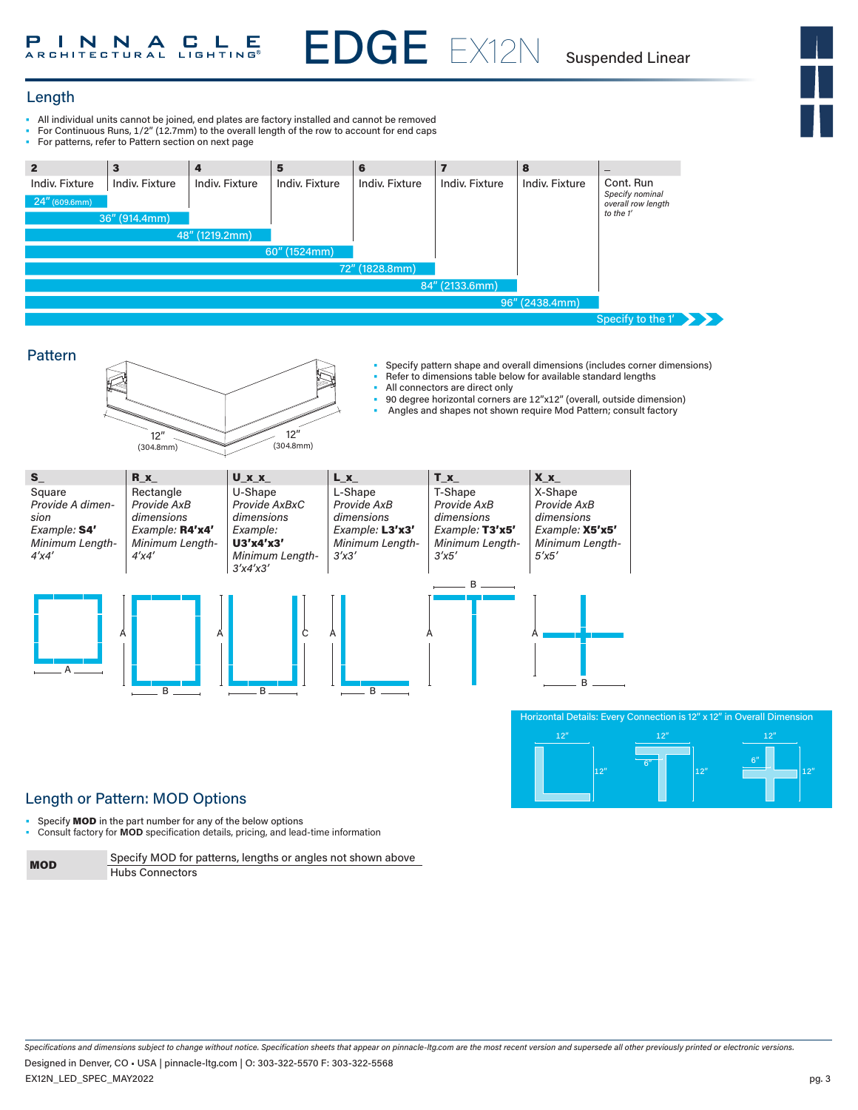EDGE EX12N Suspended Linear

12"

12"



### Length

- All individual units cannot be joined, end plates are factory installed and cannot be removed
- For Continuous Runs, 1/2" (12.7mm) to the overall length of the row to account for end caps<br>• For patterns, refer to Pattern section on next page
- For patterns, refer to Pattern section on next page





# Length or Pattern: MOD Options

• Specify **MOD** in the part number for any of the below options

• Consult factory for **MOD** specification details, pricing, and lead-time information

| <b>MOD</b> | Specify MOD for patterns, lengths or angles not shown above |
|------------|-------------------------------------------------------------|
|            | <b>Hubs Connectors</b>                                      |

*Specifications and dimensions subject to change without notice. Specification sheets that appear on pinnacle-ltg.com are the most recent version and supersede all other previously printed or electronic versions.* EX12N\_LED\_SPEC\_MAY2022 Designed in Denver, CO • USA | pinnacle-ltg.com | O: 303-322-5570 F: 303-322-5568

12"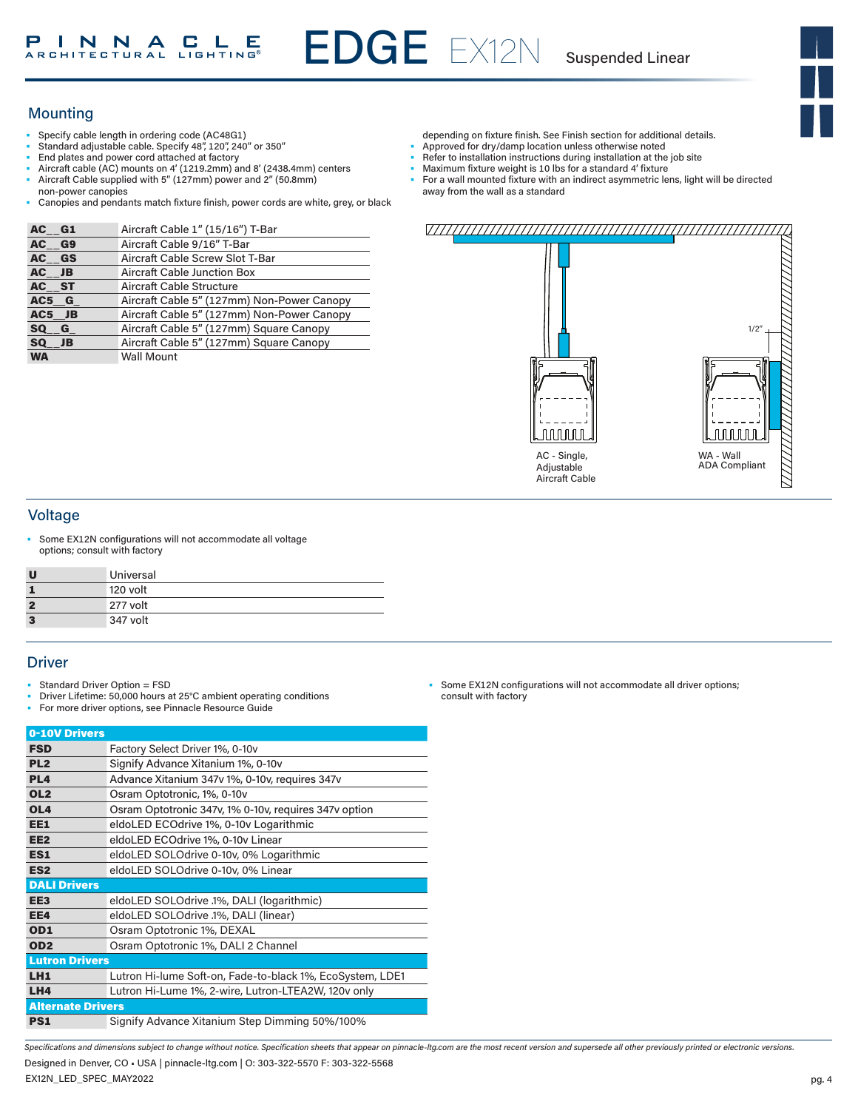EDGE EX12N

Suspended Linear



# **Mounting**

- Specify cable length in ordering code (AC48G1)
- Standard adjustable cable. Specify 48", 120", 240" or 350"
- End plates and power cord attached at factory
- Aircraft cable (AC) mounts on 4' (1219.2mm) and 8' (2438.4mm) centers
- Aircraft Cable supplied with 5" (127mm) power and 2" (50.8mm) non-power canopies
- Canopies and pendants match fixture finish, power cords are white, grey, or black

| AC G1     | Aircraft Cable 1" (15/16") T-Bar           |
|-----------|--------------------------------------------|
| AC G9     | Aircraft Cable 9/16" T-Bar                 |
| AC GS     | Aircraft Cable Screw Slot T-Bar            |
| AC JB     | <b>Aircraft Cable Junction Box</b>         |
| AC ST     | Aircraft Cable Structure                   |
| AC5 G     | Aircraft Cable 5" (127mm) Non-Power Canopy |
| AC5 JB    | Aircraft Cable 5" (127mm) Non-Power Canopy |
| SQ G      | Aircraft Cable 5" (127mm) Square Canopy    |
| SQ JB     | Aircraft Cable 5" (127mm) Square Canopy    |
| <b>WA</b> | <b>Wall Mount</b>                          |

- depending on fixture finish. See Finish section for additional details. Approved for dry/damp location unless otherwise noted
- 
- Refer to installation instructions during installation at the job site
- Maximum fixture weight is 10 lbs for a standard 4' fixture
- For a wall mounted fixture with an indirect asymmetric lens, light will be directed away from the wall as a standard



### Voltage

Some EX12N configurations will not accommodate all voltage options; consult with factory

| U              | Universal |
|----------------|-----------|
| 1              | 120 volt  |
| $\overline{2}$ | 277 volt  |
| 3              | 347 volt  |

### **Driver**

- Standard Driver Option = FSD
- Driver Lifetime: 50,000 hours at 25°C ambient operating conditions
- For more driver options, see Pinnacle Resource Guide

| 0-10V Drivers            |                                                           |
|--------------------------|-----------------------------------------------------------|
| <b>FSD</b>               | Factory Select Driver 1%, 0-10y                           |
| PL <sub>2</sub>          | Signify Advance Xitanium 1%, 0-10v                        |
| PL <sub>4</sub>          | Advance Xitanium 347v 1%, 0-10v, requires 347v            |
| OL <sub>2</sub>          | Osram Optotronic, 1%, 0-10v                               |
| OL <sub>4</sub>          | Osram Optotronic 347v, 1% 0-10v, requires 347v option     |
| EE1                      | eldoLED ECOdrive 1%, 0-10v Logarithmic                    |
| EE <sub>2</sub>          | eldoLED ECOdrive 1%, 0-10v Linear                         |
| ES1                      | eldoLED SOLOdrive 0-10v, 0% Logarithmic                   |
| ES <sub>2</sub>          | eldoLED SOLOdrive 0-10v, 0% Linear                        |
| <b>DALI Drivers</b>      |                                                           |
| EE <sub>3</sub>          | eldoLED SOLOdrive .1%, DALI (logarithmic)                 |
| EE4                      | eldoLED SOLOdrive .1%, DALI (linear)                      |
| OD <sub>1</sub>          | Osram Optotronic 1%, DEXAL                                |
| OD <sub>2</sub>          | Osram Optotronic 1%, DALI 2 Channel                       |
| <b>Lutron Drivers</b>    |                                                           |
| LH1                      | Lutron Hi-lume Soft-on, Fade-to-black 1%, EcoSystem, LDE1 |
| LH4                      | Lutron Hi-Lume 1%, 2-wire, Lutron-LTEA2W, 120v only       |
| <b>Alternate Drivers</b> |                                                           |
| <b>PS1</b>               | Signify Advance Xitanium Step Dimming 50%/100%            |

• Some EX12N configurations will not accommodate all driver options; consult with factory

*Specifications and dimensions subject to change without notice. Specification sheets that appear on pinnacle-ltg.com are the most recent version and supersede all other previously printed or electronic versions.*

EX12N\_LED\_SPEC\_MAY2022 Designed in Denver, CO • USA | pinnacle-ltg.com | O: 303-322-5570 F: 303-322-5568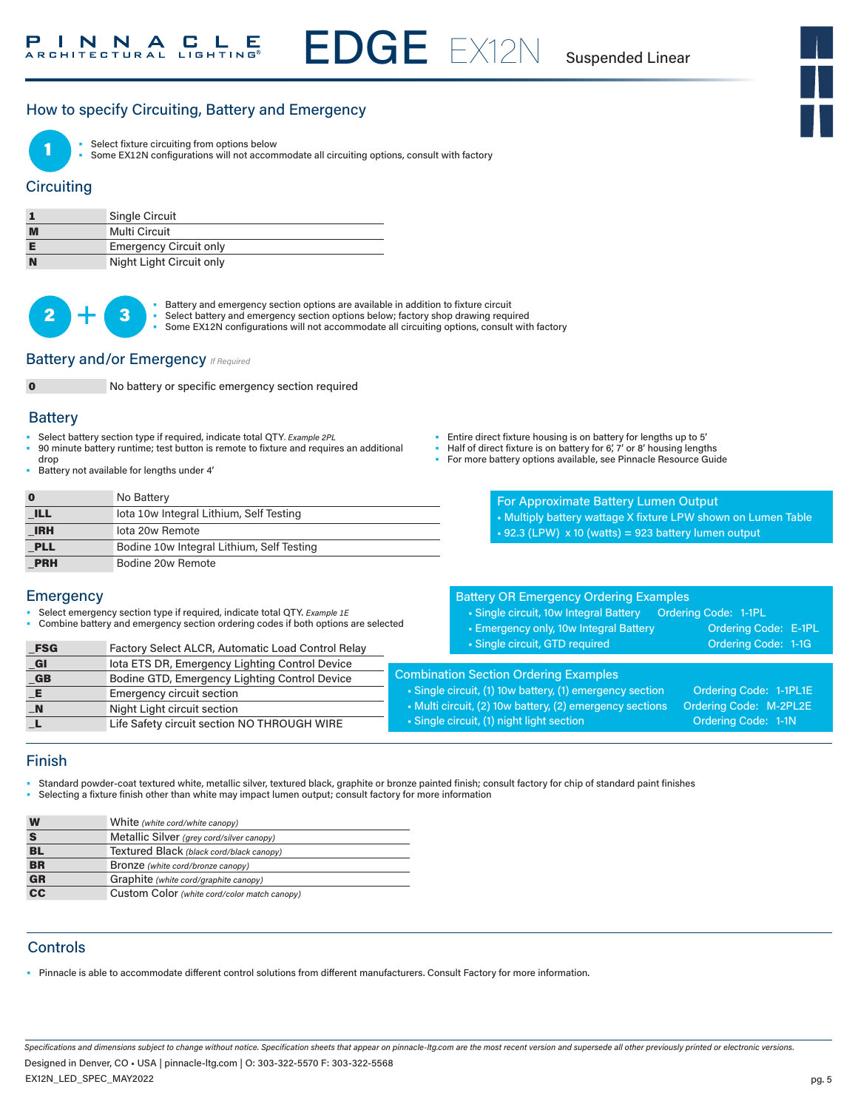EDGE EX12N Suspended Linear

### How to specify Circuiting, Battery and Emergency



Select fixture circuiting from options below

Some EX12N configurations will not accommodate all circuiting options, consult with factory

### **Circuiting**

|   | Single Circuit                |
|---|-------------------------------|
| M | Multi Circuit                 |
| E | <b>Emergency Circuit only</b> |
| N | Night Light Circuit only      |

 $2 +$ 

• Battery and emergency section options are available in addition to fixture circuit<br>• Select battery and emergency section options below; factory shop drawing required

- 
- Some EX12N configurations will not accommodate all circuiting options, consult with factory

### Battery and/or Emergency *If Required*



No battery or specific emergency section required

#### **Battery**

- Select battery section type if required, indicate total QTY*. Example 2PL*
- 90 minute battery runtime; test button is remote to fixture and requires an additional drop
- Battery not available for lengths under 4'
- Entire direct fixture housing is on battery for lengths up to 5'
- Half of direct fixture is on battery for 6', 7' or 8' housing lengths
	- For more battery options available, see Pinnacle Resource Guide

|            | No Battery                                |
|------------|-------------------------------------------|
| <b>ILL</b> | lota 10w Integral Lithium, Self Testing   |
| <b>IRH</b> | lota 20w Remote                           |
| <b>PLL</b> | Bodine 10w Integral Lithium, Self Testing |
| <b>PRH</b> | Bodine 20w Remote                         |

For Approximate Battery Lumen Output • Multiply battery wattage X fixture LPW shown on Lumen Table  $\text{-}$  92.3 (LPW)  $\times$  10 (watts) = 923 battery lumen output

### **Emergency**

• Select emergency section type if required, indicate total QTY. *Example 1E*

FSG Factory Select ALCR, Automatic Load Control Relay \_GI Iota ETS DR, Emergency Lighting Control Device \_GB Bodine GTD, Emergency Lighting Control Device

- Combine battery and emergency section ordering codes if both options are selected
- Battery OR Emergency Ordering Examples • Single circuit, 10w Integral Battery Ordering Code: 1-1PL • Emergency only, 10w Integral Battery **Canadia Code: E-1PL** • Single circuit, GTD required Code: 1-1G Combination Section Ordering Examples • Single circuit, (1) 10w battery, (1) emergency section Crdering Code: 1-1PL1E
- Multi circuit, (2) 10w battery, (2) emergency sections Ordering Code: M-2PL2E • Single circuit, (1) night light section Code: 1-1N **E** Emergency circuit section \_N Night Light circuit section Life Safety circuit section NO THROUGH WIRE

### Finish

- Standard powder-coat textured white, metallic silver, textured black, graphite or bronze painted finish; consult factory for chip of standard paint finishes
- Selecting a fixture finish other than white may impact lumen output; consult factory for more information

| W                                 | White (white cord/white canopy)              |
|-----------------------------------|----------------------------------------------|
|                                   | Metallic Silver (grey cord/silver canopy)    |
| BL                                | Textured Black (black cord/black canopy)     |
| <b>BR</b>                         | Bronze (white cord/bronze canopy)            |
| <b>GR</b>                         | Graphite (white cord/graphite canopy)        |
| $\overline{\mathbf{c}\mathbf{c}}$ | Custom Color (white cord/color match canopy) |

### **Controls**

• Pinnacle is able to accommodate different control solutions from different manufacturers. Consult Factory for more information.

*Specifications and dimensions subject to change without notice. Specification sheets that appear on pinnacle-ltg.com are the most recent version and supersede all other previously printed or electronic versions.* Designed in Denver, CO • USA | pinnacle-ltg.com | O: 303-322-5570 F: 303-322-5568